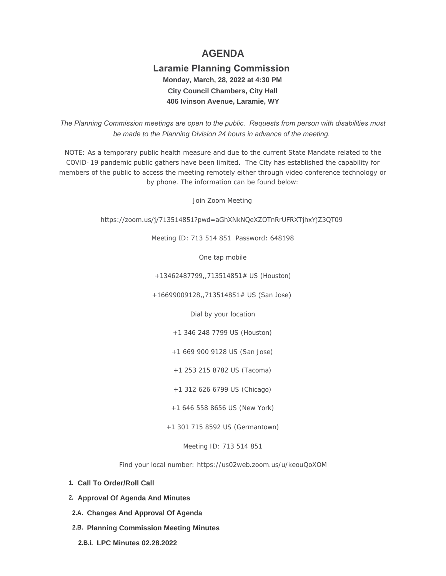# **AGENDA**

# **Laramie Planning Commission Monday, March, 28, 2022 at 4:30 PM City Council Chambers, City Hall 406 Ivinson Avenue, Laramie, WY**

 *The Planning Commission meetings are open to the public. Requests from person with disabilities must be made to the Planning Division 24 hours in advance of the meeting.*

NOTE: As a temporary public health measure and due to the current State Mandate related to the COVID-19 pandemic public gathers have been limited. The City has established the capability for members of the public to access the meeting remotely either through video conference technology or by phone. The information can be found below:

Join Zoom Meeting

https://zoom.us/j/713514851?pwd=aGhXNkNQeXZOTnRrUFRXTjhxYjZ3QT09

Meeting ID: 713 514 851 Password: 648198

One tap mobile

+13462487799,,713514851# US (Houston)

+16699009128,,713514851# US (San Jose)

Dial by your location

+1 346 248 7799 US (Houston)

+1 669 900 9128 US (San Jose)

+1 253 215 8782 US (Tacoma)

+1 312 626 6799 US (Chicago)

+1 646 558 8656 US (New York)

+1 301 715 8592 US (Germantown)

Meeting ID: 713 514 851

Find your local number: https://us02web.zoom.us/u/keouQoXOM

- **Call To Order/Roll Call 1.**
- **Approval Of Agenda And Minutes 2.**
- **Changes And Approval Of Agenda 2.A.**
- **Planning Commission Meeting Minutes 2.B.**
	- **LPC Minutes 02.28.2022 2.B.i.**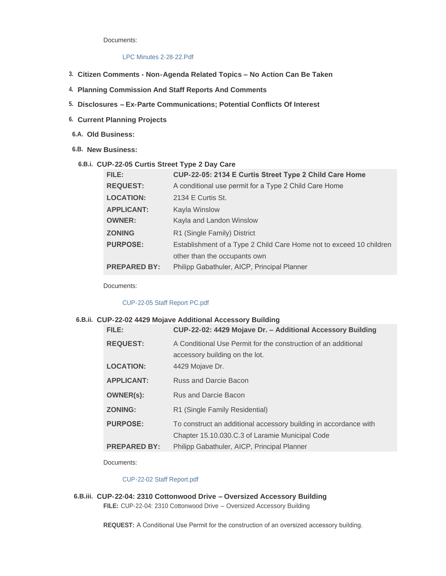Documents:

# [LPC Minutes 2-28-22.Pdf](https://cityoflaramie.org/AgendaCenter/ViewFile/Item/12069?fileID=16400)

- **Citizen Comments - Non-Agenda Related Topics – No Action Can Be Taken 3.**
- **Planning Commission And Staff Reports And Comments 4.**
- **Disclosures – Ex-Parte Communications; Potential Conflicts Of Interest 5.**
- **Current Planning Projects 6.**
- **Old Business: 6.A.**
- **New Business: 6.B.**

## **CUP-22-05 Curtis Street Type 2 Day Care 6.B.i.**

| FILE:               | CUP-22-05: 2134 E Curtis Street Type 2 Child Care Home              |
|---------------------|---------------------------------------------------------------------|
| <b>REQUEST:</b>     | A conditional use permit for a Type 2 Child Care Home               |
| <b>LOCATION:</b>    | 2134 E Curtis St.                                                   |
| <b>APPLICANT:</b>   | Kayla Winslow                                                       |
| <b>OWNER:</b>       | Kayla and Landon Winslow                                            |
| <b>ZONING</b>       | R1 (Single Family) District                                         |
| <b>PURPOSE:</b>     | Establishment of a Type 2 Child Care Home not to exceed 10 children |
|                     | other than the occupants own                                        |
| <b>PREPARED BY:</b> | Philipp Gabathuler, AICP, Principal Planner                         |

Documents:

#### [CUP-22-05 Staff Report PC.pdf](https://cityoflaramie.org/AgendaCenter/ViewFile/Item/12097?fileID=16408)

# **CUP-22-02 4429 Mojave Additional Accessory Building 6.B.ii.**

| FILE:               | CUP-22-02: 4429 Mojave Dr. - Additional Accessory Building                                       |
|---------------------|--------------------------------------------------------------------------------------------------|
| <b>REQUEST:</b>     | A Conditional Use Permit for the construction of an additional<br>accessory building on the lot. |
| <b>LOCATION:</b>    | 4429 Mojave Dr.                                                                                  |
| <b>APPLICANT:</b>   | Russ and Darcie Bacon                                                                            |
| <b>OWNER(s):</b>    | Rus and Darcie Bacon                                                                             |
| <b>ZONING:</b>      | R1 (Single Family Residential)                                                                   |
| <b>PURPOSE:</b>     | To construct an additional accessory building in accordance with                                 |
|                     | Chapter 15.10.030.C.3 of Laramie Municipal Code                                                  |
| <b>PREPARED BY:</b> | Philipp Gabathuler, AICP, Principal Planner                                                      |

Documents:

#### [CUP-22-02 Staff Report.pdf](https://cityoflaramie.org/AgendaCenter/ViewFile/Item/12071?fileID=16402)

**CUP-22-04: 2310 Cottonwood Drive – Oversized Accessory Building 6.B.iii. FILE:** CUP-22-04: 2310 Cottonwood Drive – Oversized Accessory Building

**REQUEST:** A Conditional Use Permit for the construction of an oversized accessory building.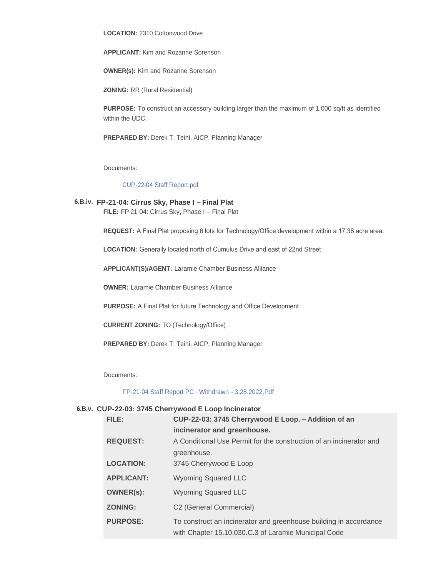**LOCATION:** 2310 Cottonwood Drive

**APPLICANT:** Kim and Rozanne Sorenson

**OWNER(s):** Kim and Rozanne Sorenson

**ZONING:** RR (Rural Residential)

**PURPOSE:** To construct an accessory building larger than the maximum of 1,000 sq/ft as identified within the UDC.

**PREPARED BY:** Derek T. Teini, AICP, Planning Manager

Documents:

#### [CUP-22-04 Staff Report.pdf](https://cityoflaramie.org/AgendaCenter/ViewFile/Item/12070?fileID=16401)

**FP-21-04: Cirrus Sky, Phase I – Final Plat 6.B.iv.**

**FILE:** FP-21-04: Cirrus Sky, Phase I – Final Plat

**REQUEST:** A Final Plat proposing 6 lots for Technology/Office development within a 17.38 acre area.

**LOCATION:** Generally located north of Cumulus Drive and east of 22nd Street

**APPLICANT(S)/AGENT:** Laramie Chamber Business Alliance

**OWNER:** Laramie Chamber Business Alliance

**PURPOSE:** A Final Plat for future Technology and Office Development

**CURRENT ZONING:** TO (Technology/Office)

**PREPARED BY:** Derek T. Teini, AICP, Planning Manager

Documents:

[FP-21-04 Staff Report PC - Withdrawn - 3.28.2022.Pdf](https://cityoflaramie.org/AgendaCenter/ViewFile/Item/12096?fileID=16407)

#### **CUP-22-03: 3745 Cherrywood E Loop Incinerator 6.B.v.**

| FILE:             | CUP-22-03: 3745 Cherrywood E Loop. - Addition of an                 |
|-------------------|---------------------------------------------------------------------|
|                   | incinerator and greenhouse.                                         |
| <b>REQUEST:</b>   | A Conditional Use Permit for the construction of an incinerator and |
|                   | greenhouse.                                                         |
| <b>LOCATION:</b>  | 3745 Cherrywood E Loop                                              |
| <b>APPLICANT:</b> | Wyoming Squared LLC                                                 |
| <b>OWNER(s):</b>  | <b>Wyoming Squared LLC</b>                                          |
| <b>ZONING:</b>    | C <sub>2</sub> (General Commercial)                                 |
| <b>PURPOSE:</b>   | To construct an incinerator and greenhouse building in accordance   |
|                   | with Chapter 15.10.030.C.3 of Laramie Municipal Code                |